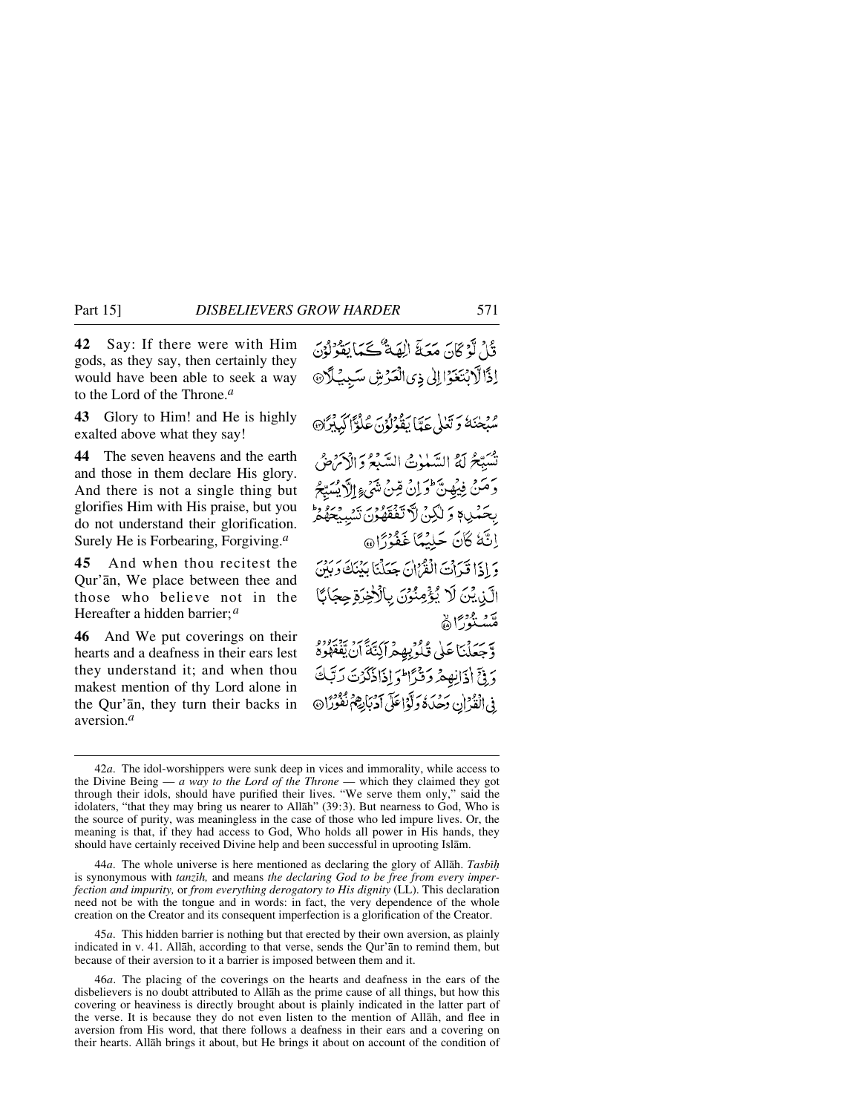**42** Say: If there were with Him gods, as they say, then certainly they would have been able to seek a way to the Lord of the Throne.*<sup>a</sup>*

**43** Glory to Him! and He is highly exalted above what they say!

**44** The seven heavens and the earth and those in them declare His glory. And there is not a single thing but glorifies Him with His praise, but you do not understand their glorification. Surely He is Forbearing, Forgiving.*<sup>a</sup>*

**45** And when thou recitest the Qur'ån, We place between thee and those who believe not in the Hereafter a hidden barrier;*<sup>a</sup>*

**46** And We put coverings on their hearts and a deafness in their ears lest they understand it; and when thou makest mention of thy Lord alone in the Qur'ån, they turn their backs in aversion.*<sup>a</sup>*

قُلْ لَوْ كَانَ مَعَةَ الْهَةٌ كَمَا يَقُولُوْنَ اِذَالَّابْتَغَوْالِلْي ذِي الْعَرْشِ سَبِيْلَا@ سُبْحٰنَهُ وَتَعْلَى عَدًّا يَقُوْلُوْنَ عُلُوًّا كَبِيْبِرَّا۞ تُسَبِّحُ لَهُ السَّبِيٰوٰتُ السَّبِعُ دَ الْأَمَرَضُ دَمَنْ فِيُهِنَّ وَإِنْ مِّنْ شَيْءٍ إِلَاَّ يُسَيِّحُ بِحَمْدِ وَ لَٰكِنۡ لَآ تَفَقِّهُوۡنَ تَسۡدِمۡحَهُمۡ ۚ إِنَّكَ كَانَ حَلِيْهًا غَفْوَرًا @ وَإِذَا قَدَاتَ الْقَرْآنَ بِحَعَلْنَا بِيُنَكَ وَبَيْنَ الَّذِيْنَ لَا يُؤْمِنُوْنَ بِالْأَخِرَةِ حِجَابًا ر و مودير<br>منسنور ا وَّجَعَلْنَا عَلَى قُادَبِهِمْرَاكِيَّةً أَنْ يَفْقَهُوهُ وَ فِيٍّ إِذَانِهِ هُ رَوْدٌ اللَّهَ إِذَاذَكَرُتَ رَبَّكَ فِي الْقُدْ إِن دَجْدَةُ دَلَّوْاعَلَى دَرْبَابِهِمْ نَفُوْرًا۞

44*a*. The whole universe is here mentioned as declaring the glory of Allāh. *Tasbih* is synonymous with *tanzßh,* and means *the declaring God to be free from every imperfection and impurity,* or *from everything derogatory to His dignity* (LL). This declaration need not be with the tongue and in words: in fact, the very dependence of the whole creation on the Creator and its consequent imperfection is a glorification of the Creator.

45*a*. This hidden barrier is nothing but that erected by their own aversion, as plainly indicated in v. 41. Allåh, according to that verse, sends the Qur'ån to remind them, but because of their aversion to it a barrier is imposed between them and it.

46*a*. The placing of the coverings on the hearts and deafness in the ears of the disbelievers is no doubt attributed to Allåh as the prime cause of all things, but how this covering or heaviness is directly brought about is plainly indicated in the latter part of the verse. It is because they do not even listen to the mention of Allåh, and flee in aversion from His word, that there follows a deafness in their ears and a covering on their hearts. Allåh brings it about, but He brings it about on account of the condition of

<sup>42</sup>*a*. The idol-worshippers were sunk deep in vices and immorality, while access to the Divine Being — *a way to the Lord of the Throne* — which they claimed they got through their idols, should have purified their lives. "We serve them only," said the idolaters, "that they may bring us nearer to Allåh" (39:3). But nearness to God, Who is the source of purity, was meaningless in the case of those who led impure lives. Or, the meaning is that, if they had access to God, Who holds all power in His hands, they should have certainly received Divine help and been successful in uprooting Islåm.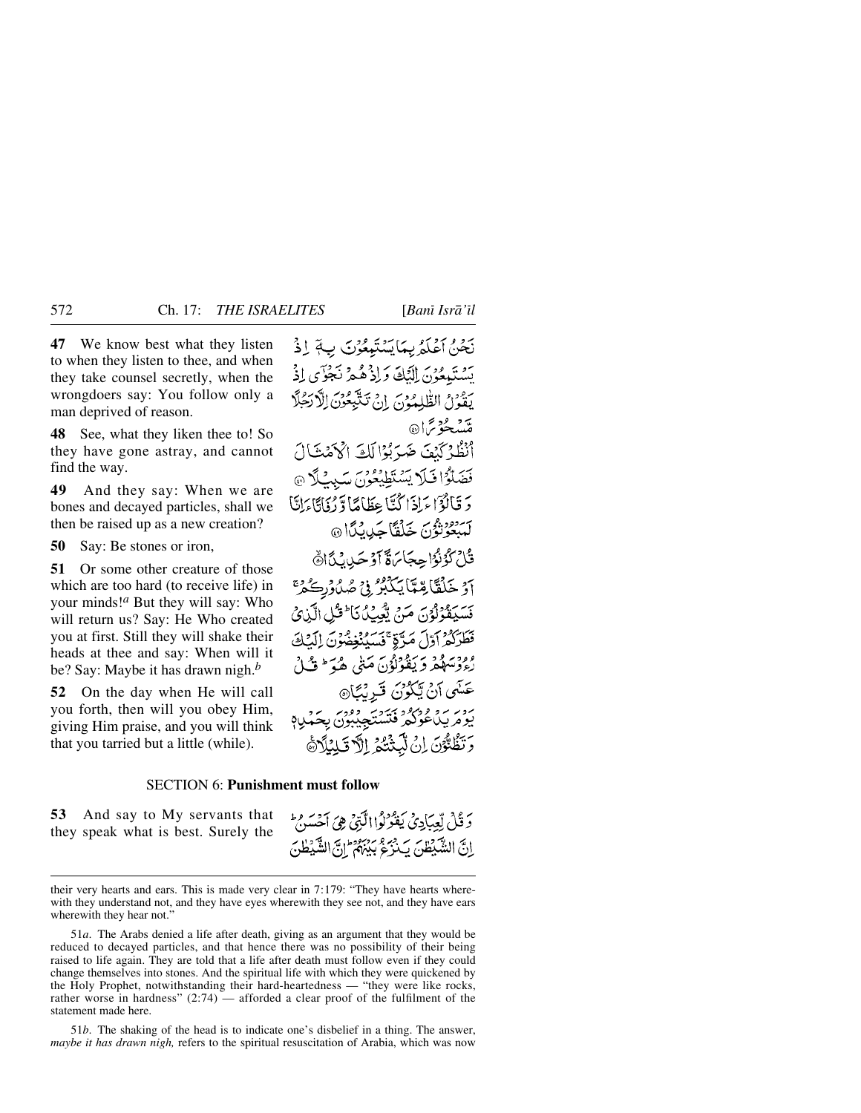**47** We know best what they listen to when they listen to thee, and when they take counsel secretly, when the wrongdoers say: You follow only a man deprived of reason.

**48** See, what they liken thee to! So they have gone astray, and cannot find the way.

**49** And they say: When we are bones and decayed particles, shall we then be raised up as a new creation?

**50** Say: Be stones or iron,

**51** Or some other creature of those which are too hard (to receive life) in your minds!*<sup>a</sup>* But they will say: Who will return us? Say: He Who created you at first. Still they will shake their heads at thee and say: When will it be? Say: Maybe it has drawn nigh.*<sup>b</sup>*

**52** On the day when He will call you forth, then will you obey Him, giving Him praise, and you will think that you tarried but a little (while).

نَحْنُ أَعْلَمُ بِمَا يَسْتَمِعُوْنَ بِ لَمْ إِذْ تشتَهِعُوْنَ الْنَكَ وَإِذْ هُمْ نَجْوٌى إِذْ يَقُونُ الطُّلِمُوْنَ إِنْ تَتَّبِعُونَ الْأَرَجُلَّا مەد دەس<br>ھىيىچۇ ئرا أَنْظُرْكَنْفَ ضَيَّ بُوْا لَكَ اكْأَهْنَتَالَ فَضَلَّوُا فَلَا يَسْتَطِيْعُونَ سَبِيْلًا @ دَ قَالَوْٓا مَاذَا كُنَّا عِظَاهَا وَدْوَادًا مَانَّا بر ......<br>لمبعوثون خَلْقَا جَدِينًا @ قُلْ كَوُنُوٗا حِجَابَهَةً أَوۡ حَيِانَ مَّاَاهَ آؤ خَلْقَاً بِعِيمَا يَكْبُرُ فِي صُدُوْرِكُ حَمْ مَسْبَقَوْلَوُنَ مَنْ تَعْبِكُ نَا فَثَلِ الَّذِي فَطَرَكُمْ أَوَّلَ مَدَّةٍ ۚ فَسَيُنْغِضُونَ إِلَيْكَ وود ود عربي دوري ميني هم السياسي.<br>رء دسهفر ديفونون ميني هم السياسي. عَسَى آنْ يَكُوْنَ قَرِيْبًا۞ برد برو وبرود برديد ووربر برد.<br>بومريداغولگرفتستجيبون بحَمْدِبَع وَتَظُنُّوْنَ إِنْ لَيَّتَّتُكُمُ إِلَّا قَبِلِنَاً هَ

# SECTION 6: **Punishment must follow**

**53** And say to My servants that they speak what is best. Surely the دَ قُلْ لِّعِبَادِيُ يَفْرُدُوا الَّبَيْيِ هِيَ أَحْسَنُ ۚ اِنَّ الشَّيْطُنَ يَدْرُعُ بَيْنَهُمْ إِنَّ الشَّيْطُنَ

51*a*. The Arabs denied a life after death, giving as an argument that they would be reduced to decayed particles, and that hence there was no possibility of their being raised to life again. They are told that a life after death must follow even if they could change themselves into stones. And the spiritual life with which they were quickened by the Holy Prophet, notwithstanding their hard-heartedness — "they were like rocks, rather worse in hardness" (2:74) — afforded a clear proof of the fulfilment of the statement made here.

51*b*. The shaking of the head is to indicate one's disbelief in a thing. The answer, *maybe it has drawn nigh,* refers to the spiritual resuscitation of Arabia, which was now

their very hearts and ears. This is made very clear in 7:179: "They have hearts wherewith they understand not, and they have eyes wherewith they see not, and they have ears wherewith they hear not."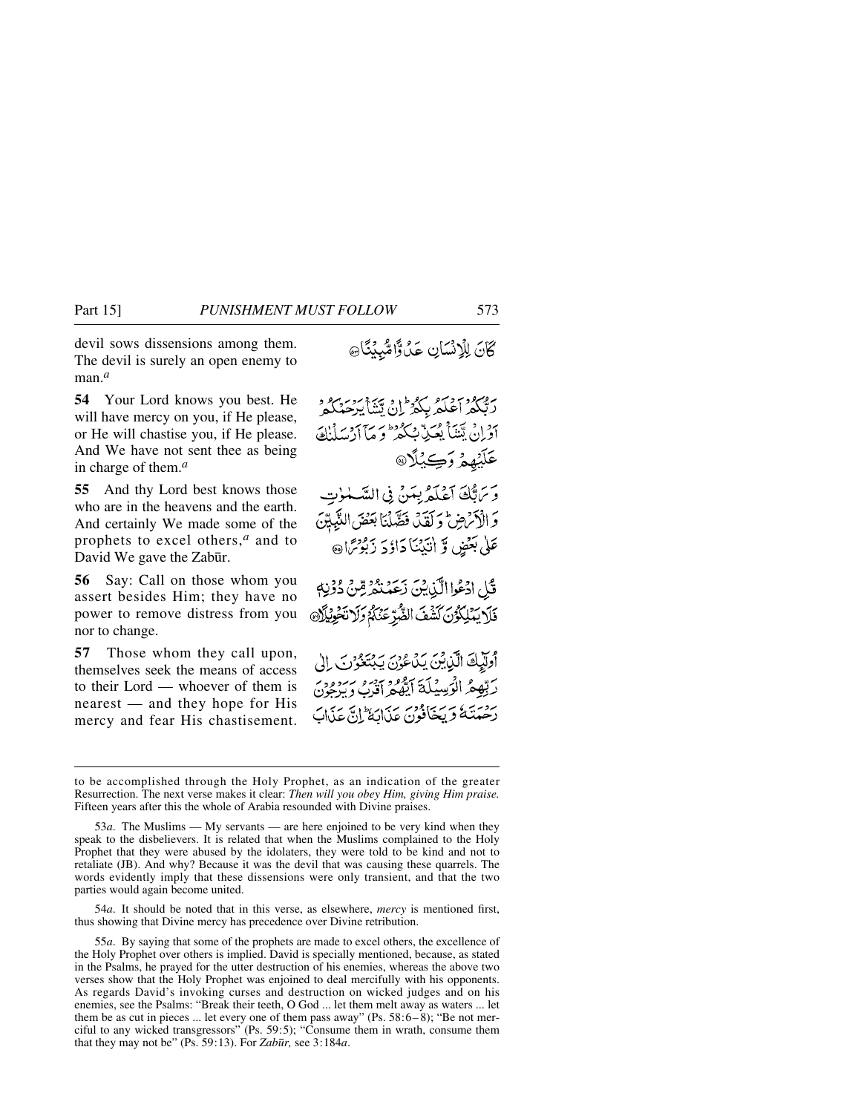devil sows dissensions among them. The devil is surely an open enemy to man.*<sup>a</sup>*

**54** Your Lord knows you best. He will have mercy on you, if He please, or He will chastise you, if He please. And We have not sent thee as being in charge of them.*<sup>a</sup>*

**55** And thy Lord best knows those who are in the heavens and the earth. And certainly We made some of the prophets to excel others,*<sup>a</sup>* and to David We gave the Zabūr.

**56** Say: Call on those whom you assert besides Him; they have no power to remove distress from you nor to change.

**57** Those whom they call upon, themselves seek the means of access to their Lord — whoever of them is nearest — and they hope for His mercy and fear His chastisement. كَانَ لِلْإِنْسَانِ عَدْوًا مُّبِيْنًا ﴾

روبرد ديرو برودان پښايرخمکمر<br>رېگمراغلمرېکو ان پښايرخمکمر ادان يتنبأ بعُبدٌ بسكو وسادير إن عَلَيۡهِمۡ وَكِيۡلًا۞ وَتَرَبُّكَ آَعَلَمُ بِمَنْ فِي السَّلْوٰتِ

وَالْأَمْرَضِ وَكَقَدْ، فَصَّلْنَا بَعَضَ النَّبِيِّنَ عَلَىٰ بَعْضٍ وَّ أَنَيْنَنَا دَاؤِدَ زَبُوْتِرَا۞

قَلْ ادْعُوا الَّذِينَ زَعَمْنْدُرُّسِّنْ دُوْنِهٖ فَلَا يَمْلِكُوْنَ كَشْفَ الصَّرِّعَنَكُمْ وَلَا تَحْوِيْلَانَ

وَلَيْكَ الَّذِينَ يَدَعُونَ يَبْتَغُوْنَ إِلَى رَبِّهِعُ الْوَسِيْلَةَ آيَّهُ وَمِنْ مِنْ وَمِنْ وَمِنْ روسته ويجافون عذابة إنّ عذاب

54*a*. It should be noted that in this verse, as elsewhere, *mercy* is mentioned first, thus showing that Divine mercy has precedence over Divine retribution.

to be accomplished through the Holy Prophet, as an indication of the greater Resurrection. The next verse makes it clear: *Then will you obey Him, giving Him praise.* Fifteen years after this the whole of Arabia resounded with Divine praises.

<sup>53</sup>*a*. The Muslims — My servants — are here enjoined to be very kind when they speak to the disbelievers. It is related that when the Muslims complained to the Holy Prophet that they were abused by the idolaters, they were told to be kind and not to retaliate (JB). And why? Because it was the devil that was causing these quarrels. The words evidently imply that these dissensions were only transient, and that the two parties would again become united.

<sup>55</sup>*a*. By saying that some of the prophets are made to excel others, the excellence of the Holy Prophet over others is implied. David is specially mentioned, because, as stated in the Psalms, he prayed for the utter destruction of his enemies, whereas the above two verses show that the Holy Prophet was enjoined to deal mercifully with his opponents. As regards David's invoking curses and destruction on wicked judges and on his enemies, see the Psalms: "Break their teeth, O God ... let them melt away as waters ... let them be as cut in pieces ... let every one of them pass away" (Ps.  $58:6-8$ ); "Be not merciful to any wicked transgressors" (Ps. 59:5); "Consume them in wrath, consume them that they may not be" (Ps. 59:13). For *Zab∂r,* see 3:184*a*.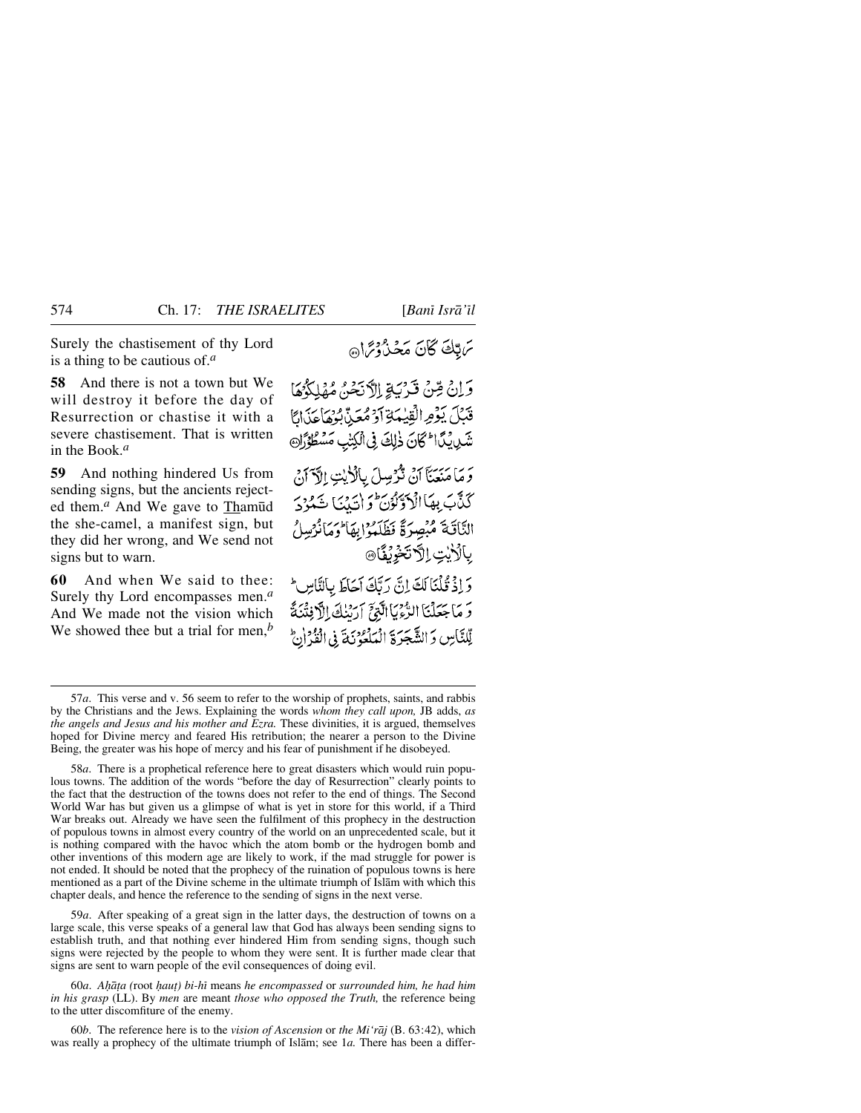Surely the chastisement of thy Lord is a thing to be cautious of.*<sup>a</sup>*

**58** And there is not a town but We will destroy it before the day of Resurrection or chastise it with a severe chastisement. That is written in the Book.*<sup>a</sup>*

**59** And nothing hindered Us from sending signs, but the ancients rejected them.<sup>*a*</sup> And We gave to Thamūd the she-camel, a manifest sign, but they did her wrong, and We send not signs but to warn.

**60** And when We said to thee: Surely thy Lord encompasses men.*<sup>a</sup>* And We made not the vision which We showed thee but a trial for men,*<sup>b</sup>* ترتك كآنَ مَجْذَرُوْتِرَانَ

وَإِنْ مِّنْ قَدْنَةِ إِلاَّنَحْنُ مُهْلِكُمُهَا قَبَلَ يَؤْمِ الْقِيْمَةِ آَوْ مُعَنِّ بُوُهَا عَذَابًا شَرِينَ النَّكَانَ ذٰلِكَ فِى الْكِتْبِ مَسْطُوَّرَك وَمَا مَنِعَنَا أَنْ تَرْسِلَ بِالْأَيْتِ إِلَّا أَنْ كَذَّبَ بِهَاَالْدَوِّيْوْرَ وَإِنَّ بَنَا شَهْزَدَ النَّاقَةَ مُبْصِرَةً نَظَلَمُوْابِهَا وَمَانْرُسِلُ **بِالْأَيْتِ إِلَّا تَخْرِيْقَا®** وَإِذْ قُلْنَا لَكَ إِنَّ رَبَّكَ آجَاطَ بِالنَّاسِ \* وَ مَا جَعَلْنَا الرُّّءَيَا الَّتِيِّ آرَسُكَ الْأَفِتْنَةَ

لِّلنَّاسِ وَالشَّجَرَةَ الْمَلْعُونَةَ فِي الْفَرْانِ

58*a*. There is a prophetical reference here to great disasters which would ruin populous towns. The addition of the words "before the day of Resurrection" clearly points to the fact that the destruction of the towns does not refer to the end of things. The Second World War has but given us a glimpse of what is yet in store for this world, if a Third War breaks out. Already we have seen the fulfilment of this prophecy in the destruction of populous towns in almost every country of the world on an unprecedented scale, but it is nothing compared with the havoc which the atom bomb or the hydrogen bomb and other inventions of this modern age are likely to work, if the mad struggle for power is not ended. It should be noted that the prophecy of the ruination of populous towns is here mentioned as a part of the Divine scheme in the ultimate triumph of Islåm with which this chapter deals, and hence the reference to the sending of signs in the next verse.

59*a*. After speaking of a great sign in the latter days, the destruction of towns on a large scale, this verse speaks of a general law that God has always been sending signs to establish truth, and that nothing ever hindered Him from sending signs, though such signs were rejected by the people to whom they were sent. It is further made clear that signs are sent to warn people of the evil consequences of doing evil.

60*a*. *Aƒå∆a (*root *ƒau∆) bi-hß* means *he encompassed* or *surrounded him, he had him in his grasp* (LL). By *men* are meant *those who opposed the Truth,* the reference being to the utter discomfiture of the enemy.

60*b*. The reference here is to the *vision of Ascension* or *the Mi'råj* (B. 63:42), which was really a prophecy of the ultimate triumph of Islåm; see 1*a.* There has been a differ-

<sup>57</sup>*a*. This verse and v. 56 seem to refer to the worship of prophets, saints, and rabbis by the Christians and the Jews. Explaining the words *whom they call upon,* JB adds, *as the angels and Jesus and his mother and Ezra.* These divinities, it is argued, themselves hoped for Divine mercy and feared His retribution; the nearer a person to the Divine Being, the greater was his hope of mercy and his fear of punishment if he disobeyed.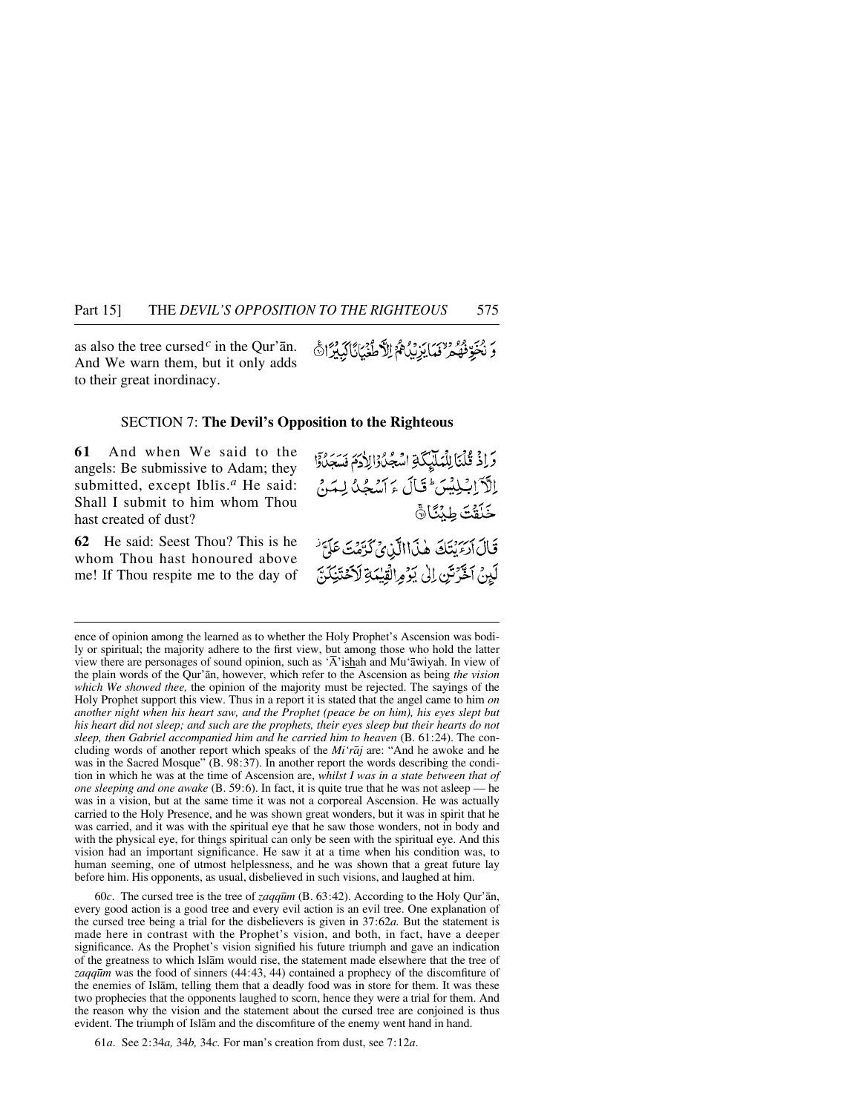as also the tree cursed<sup> $c$ </sup> in the Qur'an. And We warn them, but it only adds to their great inordinacy.

SECTION 7: **The Devil's Opposition to the Righteous**

**61** And when We said to the angels: Be submissive to Adam; they submitted, except Iblis.<sup>*a*</sup> He said: Shall I submit to him whom Thou hast created of dust?

وَاذْ قُلْنَا لِلْمَلَيْكَةِ اسْجُلُوْالِلَامَ فَسَجَلُوْا إِلَّاَ إِلَيْلِيْسَ ۖ قَالَ ءَ ٱسْجُدُ لِمَنْ خَلَقْتَ طِبْنَانَّ قَالَ الرَّبِيَّكَ هٰذَاالَّيْنِيُّ كَرَّمَتَ عَلَىَّ

لَيِنْ آخَرَتَنِ إِلَىٰ يَوْمِ الْقِيْمَةِ لَاَحْتَيْكَنَّ

رَ يُخَوِّنُهُمْ لَهَ) يَزِيْهُمُ الآطُغَيَانَّا كَبِيْرَانَّ

**62** He said: Seest Thou? This is he whom Thou hast honoured above me! If Thou respite me to the day of

ence of opinion among the learned as to whether the Holy Prophet's Ascension was bodily or spiritual; the majority adhere to the first view, but among those who hold the latter view there are personages of sound opinion, such as 'Å'ishah and Mu'åwiyah. In view of the plain words of the Qur'ån, however, which refer to the Ascension as being *the vision which We showed thee,* the opinion of the majority must be rejected. The sayings of the Holy Prophet support this view. Thus in a report it is stated that the angel came to him *on another night when his heart saw, and the Prophet (peace be on him), his eyes slept but his heart did not sleep; and such are the prophets, their eyes sleep but their hearts do not sleep, then Gabriel accompanied him and he carried him to heaven* (B. 61:24). The concluding words of another report which speaks of the *Mi'råj* are: "And he awoke and he was in the Sacred Mosque" (B. 98:37). In another report the words describing the condition in which he was at the time of Ascension are, *whilst I was in a state between that of one sleeping and one awake* (B. 59:6). In fact, it is quite true that he was not asleep — he was in a vision, but at the same time it was not a corporeal Ascension. He was actually carried to the Holy Presence, and he was shown great wonders, but it was in spirit that he was carried, and it was with the spiritual eye that he saw those wonders, not in body and with the physical eye, for things spiritual can only be seen with the spiritual eye. And this vision had an important significance. He saw it at a time when his condition was, to human seeming, one of utmost helplessness, and he was shown that a great future lay before him. His opponents, as usual, disbelieved in such visions, and laughed at him.

60*c*. The cursed tree is the tree of *zaqq∂m* (B. 63:42). According to the Holy Qur'ån, every good action is a good tree and every evil action is an evil tree. One explanation of the cursed tree being a trial for the disbelievers is given in 37:62*a.* But the statement is made here in contrast with the Prophet's vision, and both, in fact, have a deeper significance. As the Prophet's vision signified his future triumph and gave an indication of the greatness to which Islåm would rise, the statement made elsewhere that the tree of *zaqq∂m* was the food of sinners (44:43, 44) contained a prophecy of the discomfiture of the enemies of Islåm, telling them that a deadly food was in store for them. It was these two prophecies that the opponents laughed to scorn, hence they were a trial for them. And the reason why the vision and the statement about the cursed tree are conjoined is thus evident. The triumph of Islåm and the discomfiture of the enemy went hand in hand.

61*a*. See 2:34*a,* 34*b,* 34*c.* For man's creation from dust, see 7:12*a*.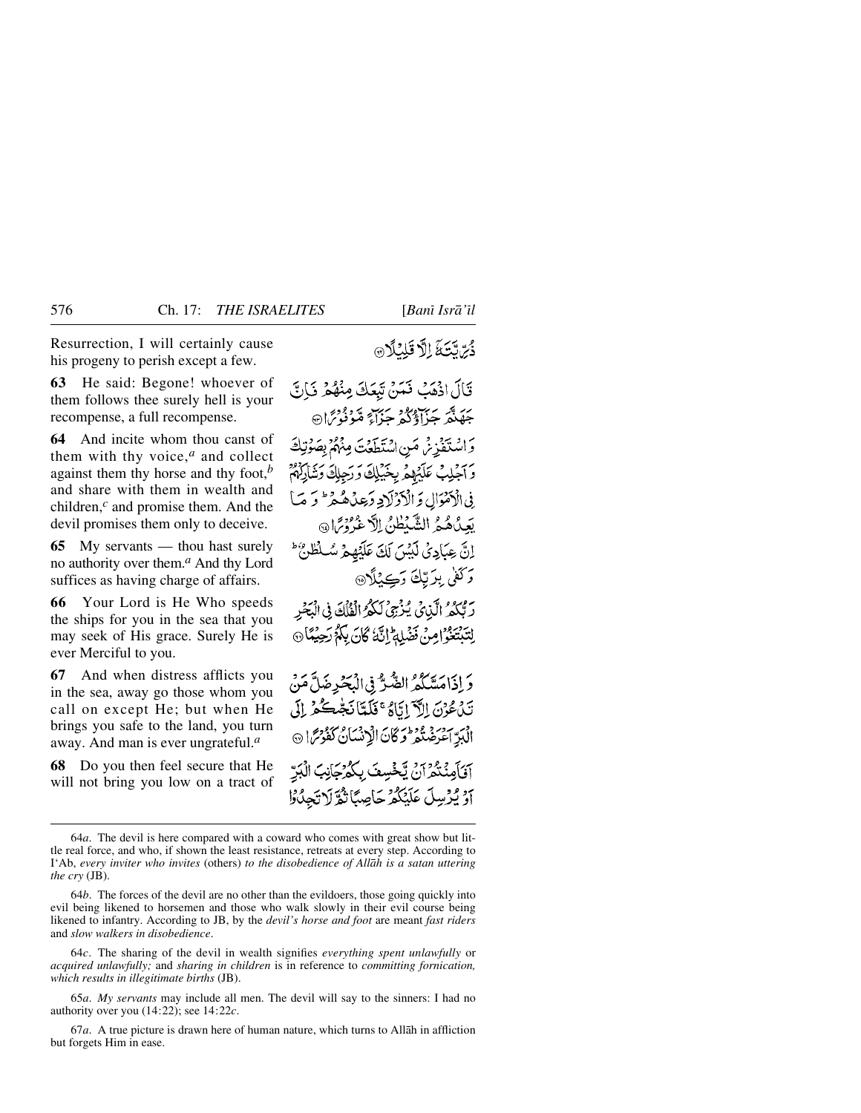Resurrection, I will certainly cause his progeny to perish except a few.

**63** He said: Begone! whoever of them follows thee surely hell is your recompense, a full recompense.

**64** And incite whom thou canst of them with thy voice,*<sup>a</sup>* and collect against them thy horse and thy foot,*<sup>b</sup>* and share with them in wealth and children,*<sup>c</sup>* and promise them. And the devil promises them only to deceive.

**65** My servants — thou hast surely no authority over them.*<sup>a</sup>* And thy Lord suffices as having charge of affairs.

**66** Your Lord is He Who speeds the ships for you in the sea that you may seek of His grace. Surely He is ever Merciful to you.

**67** And when distress afflicts you in the sea, away go those whom you call on except He; but when He brings you safe to the land, you turn away. And man is ever ungrateful.*<sup>a</sup>*

**68** Do you then feel secure that He will not bring you low on a tract of دُبِّ تَتَةَ الَّا قَلِيْلَا

قَالَ اذْهَبْ فَعَنْ تَبْعَكَ مِنْهُمْ فَبَالٌ جَهَنَّهُ جَيَآؤُكُمْ جَزَآءٌ مَّوَفَوْسٌ هَ وَاسْتَغَذِّنْرِ مَنِ اسْتَطَعَتَ مِنْهُمُّ بِصَوْتِكَ وَالْجَلِبْ عَلَيْهِمْ بِخَيْلِكَ وَرَجِلِكَ وَشَارَكُهُمْ <u>في الْأَمْوَالِ وَ الْأَدْ لَادِ وَعِدْهُ هُيْمٍ \* وَ مَبَأَ</u> بَعِيدُهُمْ الشَّيْطُنُ إِلَّا غَرُورَا۞ اِنَّ عِبَادِيُّ لَبَيْسَ لَكَ عَلَيْهِمْ سُلْطُنٌ ۚ وَكَفَىٰ بِدَيْكَ دَڪِئلَا۞ رَبُّهُمُ الَّيْائِي يُنْزِجِيُ لَكُمُ الْفَلْكَ فِي الْبَحْرِ لِتَدْتَعُوْ ٰ إِمِنْ فَضْلِهِ ۚ إِنَّهُ كَانَ بِٱلْمُ رَحِيْنًا ۞ دَ إِذَاهَ يَتَكُمُّ الضَّرُّ فِي الْبَحْدِضَلَّ مَنْ نَدْ، عُوْنَ إِلاَّ إِيَّاهُ عَ فَلَمِّاً نَجْبِعِكُمْ إِلَى الْبَدِّ آعْرَضْتُمْ فَرِكَانَ الْإِنْسَانُ كَفَوْسً ا ۞

آقَاًمِنْتُكُمْ أَنْ يَخْسِفَ بِكُمْ حَانِبَ الْبَرّ أَوْ يُرْسِلَ عَلَيْكُمْ حَاصِبًا تَقْرَلَا تَجِدُوْا

64*c*. The sharing of the devil in wealth signifies *everything spent unlawfully* or *acquired unlawfully;* and *sharing in children* is in reference to *committing fornication, which results in illegitimate births* (JB).

65*a*. *My servants* may include all men. The devil will say to the sinners: I had no authority over you (14:22); see 14:22*c*.

67*a*. A true picture is drawn here of human nature, which turns to Allåh in affliction but forgets Him in ease.

<sup>64</sup>*a*. The devil is here compared with a coward who comes with great show but little real force, and who, if shown the least resistance, retreats at every step. According to I'Ab, *every inviter who invites* (others) *to the disobedience of Allåh is a satan uttering the cry* (JB).

<sup>64</sup>*b*. The forces of the devil are no other than the evildoers, those going quickly into evil being likened to horsemen and those who walk slowly in their evil course being likened to infantry. According to JB, by the *devil's horse and foot* are meant *fast riders* and *slow walkers in disobedience*.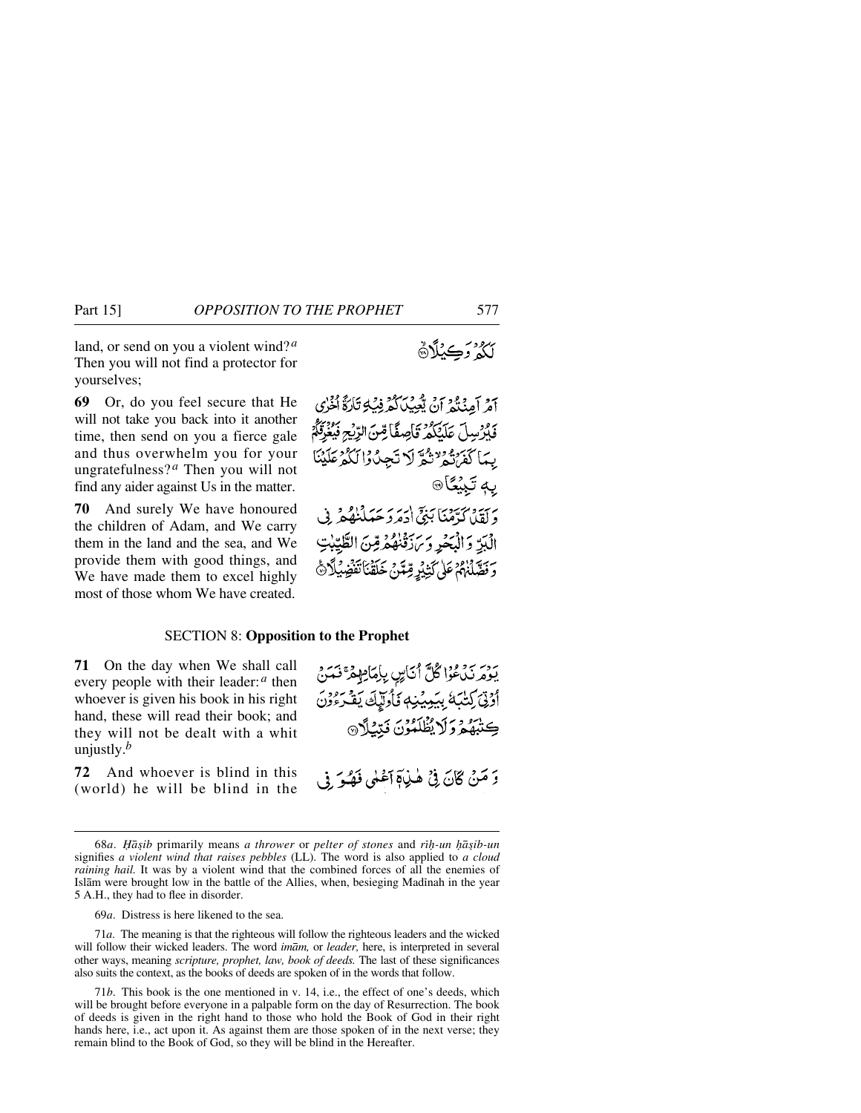land, or send on you a violent wind? *<sup>a</sup>* Then you will not find a protector for yourselves;

**69** Or, do you feel secure that He will not take you back into it another time, then send on you a fierce gale and thus overwhelm you for your ungratefulness? *<sup>a</sup>* Then you will not find any aider against Us in the matter.

**70** And surely We have honoured the children of Adam, and We carry them in the land and the sea, and We provide them with good things, and We have made them to excel highly most of those whom We have created.

آمْرِ آمِنْكُمْ أَنْ يُعِيدِبْالْكُرْفِيْكِ تَارَةٌ أَنْزَلَ فَكَرْسِلَ عَلَيْكُمْ قَاصِفًا مِّنَ الرِّيْحِ فَيُغْزَقُهُمْ بِيمَا كَفَرَنْهُمْ تَثْمَرَّ لَا تَجِنُّوْا لَكُمْ عَلَيْنَا به تَبِيُعَا® ربية ورسمية بن اربر سر سداده.<br>ولقلاكرمنا بني ادمرد حَبلنْهُمْ الْبَرِّ وَالْبَحْرِ وَيَهْدَفْهُمْ قِنَّ الطَّيِّبْ

وَفَصَّلْنَهُمْ عَلَىٰ كَثِيْرِ مِّتَّنْ خَلَقْنَا تَفْضِيَهِ

#### SECTION 8: **Opposition to the Prophet**

**71** On the day when We shall call every people with their leader:*<sup>a</sup>* then whoever is given his book in his right hand, these will read their book; and they will not be dealt with a whit unjustly.*<sup>b</sup>*

**72** And whoever is blind in this (world) he will be blind in the

يَهْدِمَهِ زَيْيُءُوْا كُلٌّ أَنَاسٍ بِإِمَاهِهِمْ ۚ فَيَمَنَّ أَرْتِيَ كِتَبَهَّ بِيَبِيِيْنِهِ فَأُولَّيْكَ يَقْرَءُوْنَ كِتْبْهُمْ وَلَا يُظْلَمُوْنَ فَبْنِيْلَا @

5 مَنْ كَانَ فِي هٰذِيَّةِ ٱعْنِي فَهُدَ فِي

69*a*. Distress is here likened to the sea.

71*a*. The meaning is that the righteous will follow the righteous leaders and the wicked will follow their wicked leaders. The word *imåm,* or *leader,* here, is interpreted in several other ways, meaning *scripture, prophet, law, book of deeds.* The last of these significances also suits the context, as the books of deeds are spoken of in the words that follow.

71*b*. This book is the one mentioned in v. 14, i.e., the effect of one's deeds, which will be brought before everyone in a palpable form on the day of Resurrection. The book of deeds is given in the right hand to those who hold the Book of God in their right hands here, i.e., act upon it. As against them are those spoken of in the next verse; they remain blind to the Book of God, so they will be blind in the Hereafter.

<sup>68</sup>*a*. *쌩ib* primarily means *a thrower* or *pelter of stones* and *r߃-un ƒå©ib-un* signifies *a violent wind that raises pebbles* (LL). The word is also applied to *a cloud raining hail.* It was by a violent wind that the combined forces of all the enemies of Islām were brought low in the battle of the Allies, when, besieging Madinah in the year 5 A.H., they had to flee in disorder.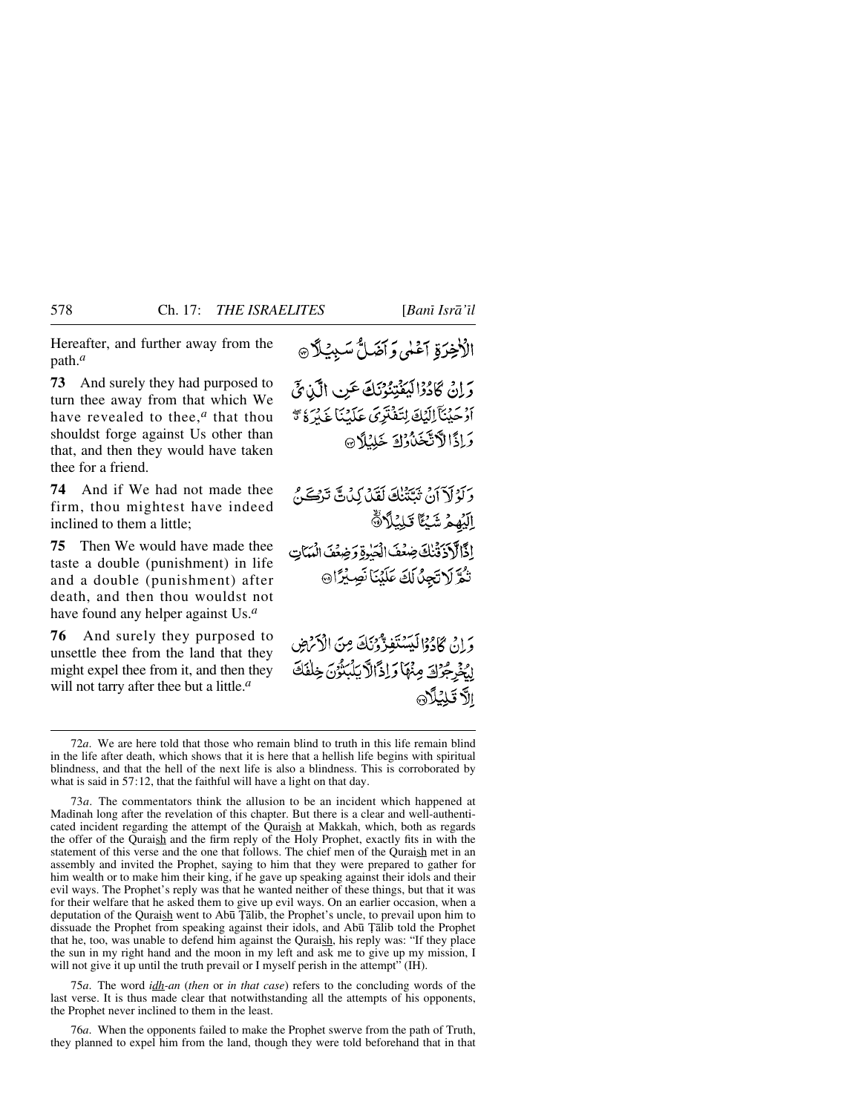Hereafter, and further away from the path.*<sup>a</sup>*

**73** And surely they had purposed to turn thee away from that which We have revealed to thee,*<sup>a</sup>* that thou shouldst forge against Us other than that, and then they would have taken thee for a friend.

**74** And if We had not made thee firm, thou mightest have indeed inclined to them a little;

**75** Then We would have made thee taste a double (punishment) in life and a double (punishment) after death, and then thou wouldst not have found any helper against Us.*<sup>a</sup>*

**76** And surely they purposed to unsettle thee from the land that they might expel thee from it, and then they will not tarry after thee but a little.*<sup>a</sup>*

الْأَخِرَةِ آَعْلَى وَأَضَلُّ سَبِيْلًا @

وَإِنْ كَادُوْالِيَفْتِنُوْنَكَ عَنِ الَّذِيَّ أَوْحَيْنَآ إِلَيْكَ لِتَفْتَرِيَ عَلَيْنَا غَيْرَةُ \* وَإِذَالاَّتَّخَذُوْكَ خَلِيْلاَ®

وَلَوْلَاَ أَنْ تُبَتَّنُنَّكَ لَقَدْ كِدْنَ تَرْكَحَنَّ الِّيُهِمُ شَيْئًا تَلِيُلَانَّةَ إذَالَادَ ثَنْكَ ضِعْفَ الْحَيْرِةِ وَضِعْفَ الْمَمَاتِ تُمَّ لَاتَجِنَّ لَكَ عَلَيْنَا نَصِيْرًا۞

وَ إِنْ كَادَوْالْكِسْتَفَدَّّوْنَكَ مِنَ الْأَرْضِ إِيُخْرِجُوْكَ مِنْهَا وَإِذَالَّا يَلْبَنُوْنَ خِلْفَكَ الأقلئلاه

75*a*. The word *idh-an* (*then* or *in that case*) refers to the concluding words of the last verse. It is thus made clear that notwithstanding all the attempts of his opponents, the Prophet never inclined to them in the least.

76*a*. When the opponents failed to make the Prophet swerve from the path of Truth, they planned to expel him from the land, though they were told beforehand that in that

<sup>72</sup>*a*. We are here told that those who remain blind to truth in this life remain blind in the life after death, which shows that it is here that a hellish life begins with spiritual blindness, and that the hell of the next life is also a blindness. This is corroborated by what is said in 57:12, that the faithful will have a light on that day.

<sup>73</sup>*a*. The commentators think the allusion to be an incident which happened at Madinah long after the revelation of this chapter. But there is a clear and well-authenticated incident regarding the attempt of the Quraish at Makkah, which, both as regards the offer of the Quraish and the firm reply of the Holy Prophet, exactly fits in with the statement of this verse and the one that follows. The chief men of the Quraish met in an assembly and invited the Prophet, saying to him that they were prepared to gather for him wealth or to make him their king, if he gave up speaking against their idols and their evil ways. The Prophet's reply was that he wanted neither of these things, but that it was for their welfare that he asked them to give up evil ways. On an earlier occasion, when a deputation of the Quraish went to Abū Țālib, the Prophet's uncle, to prevail upon him to dissuade the Prophet from speaking against their idols, and Abū Țālib told the Prophet that he, too, was unable to defend him against the Quraish, his reply was: "If they place the sun in my right hand and the moon in my left and ask me to give up my mission, I will not give it up until the truth prevail or I myself perish in the attempt" (IH).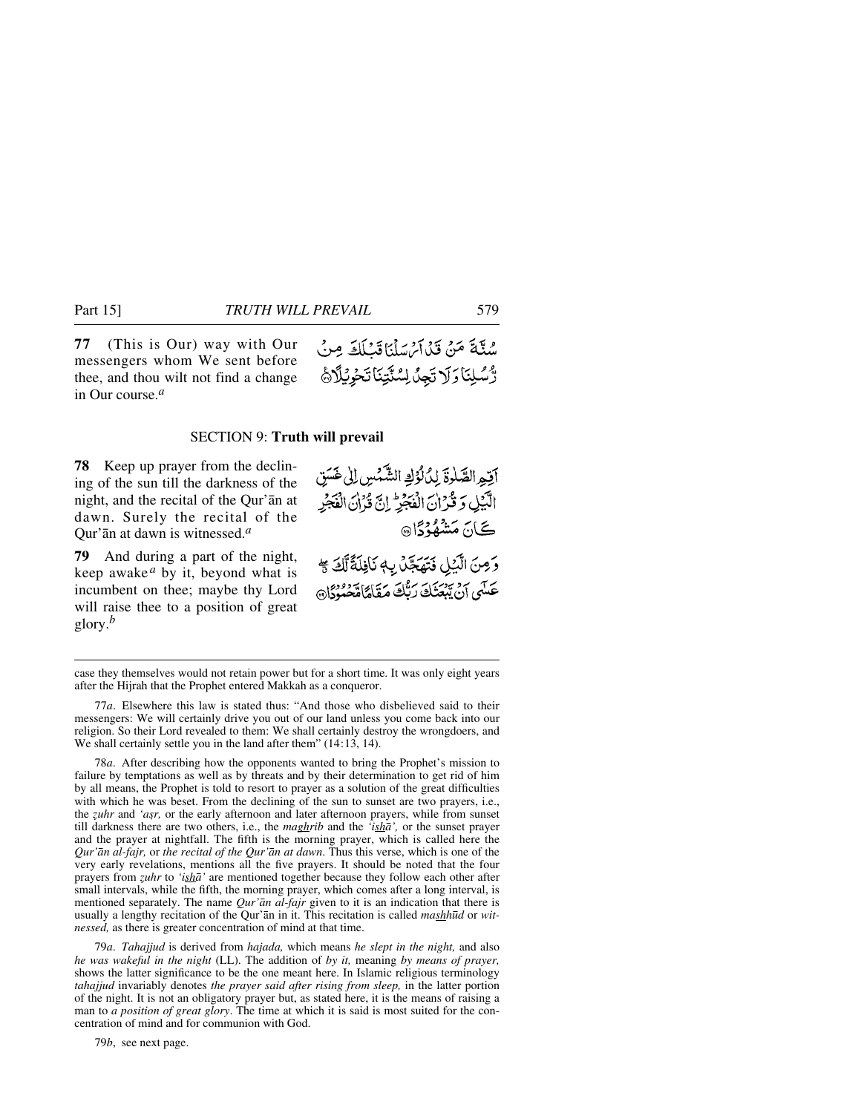**77** (This is Our) way with Our messengers whom We sent before thee, and thou wilt not find a change in Our course.*<sup>a</sup>*

#### SECTION 9: **Truth will prevail**

**78** Keep up prayer from the declining of the sun till the darkness of the night, and the recital of the Qur'ån at dawn. Surely the recital of the Qur'ån at dawn is witnessed.*<sup>a</sup>*

**79** And during a part of the night, keep awake<sup> $a$ </sup> by it, beyond what is incumbent on thee; maybe thy Lord will raise thee to a position of great glory.*<sup>b</sup>*

آقه الصَّلْوةَ لِدُلُّوُكِ الشَّمْسِ إِلَىٰ غَسَق الآيل وَ قُرْانِ الْفَجَرِ إِنَّ قَرْانَ الْفَجْرِ ڪَانَ **مَشْهُدُدً**ا هِ

وَصِنَ الَّذِيلِ فَتَهَجَّلُ بِهِ نَافِلَةً لَّكَ \* عَسَى أَنْ يَبْعَثَكَ رَبُّكَ مَقَامًا مَّعْدُوْدًانَ

78*a*. After describing how the opponents wanted to bring the Prophet's mission to failure by temptations as well as by threats and by their determination to get rid of him by all means, the Prophet is told to resort to prayer as a solution of the great difficulties with which he was beset. From the declining of the sun to sunset are two prayers, i.e., the *zuhr* and 'asr, or the early afternoon and later afternoon prayers, while from sunset till darkness there are two others, i.e., the *maghrib* and the *'ishå',* or the sunset prayer and the prayer at nightfall. The fifth is the morning prayer, which is called here the *Qur'ån al-fajr,* or *the recital of the Qur'ån at dawn*. Thus this verse, which is one of the very early revelations, mentions all the five prayers. It should be noted that the four prayers from *˚uhr* to *'ishå'* are mentioned together because they follow each other after small intervals, while the fifth, the morning prayer, which comes after a long interval, is mentioned separately. The name *Qur'ån al-fajr* given to it is an indication that there is usually a lengthy recitation of the Qur'ån in it. This recitation is called *mashh∂d* or *witnessed,* as there is greater concentration of mind at that time.

79*a*. *Tahajjud* is derived from *hajada,* which means *he slept in the night,* and also *he was wakeful in the night* (LL). The addition of *by it,* meaning *by means of prayer,* shows the latter significance to be the one meant here. In Islamic religious terminology *tahajjud* invariably denotes *the prayer said after rising from sleep,* in the latter portion of the night. It is not an obligatory prayer but, as stated here, it is the means of raising a man to *a position of great glory*. The time at which it is said is most suited for the concentration of mind and for communion with God.

79*b*, see next page.

سُنَّةَ مَنْ قَدْاَمْ سَلَّيَا قَبْلَكَ مِنْ رَّسُلِنَاوَلَاتَجِلُ لِسُنَّتِنَاتَحْوِيُلَاثَ

case they themselves would not retain power but for a short time. It was only eight years after the Hijrah that the Prophet entered Makkah as a conqueror.

<sup>77</sup>*a*. Elsewhere this law is stated thus: "And those who disbelieved said to their messengers: We will certainly drive you out of our land unless you come back into our religion. So their Lord revealed to them: We shall certainly destroy the wrongdoers, and We shall certainly settle you in the land after them"  $(14:13, 14)$ .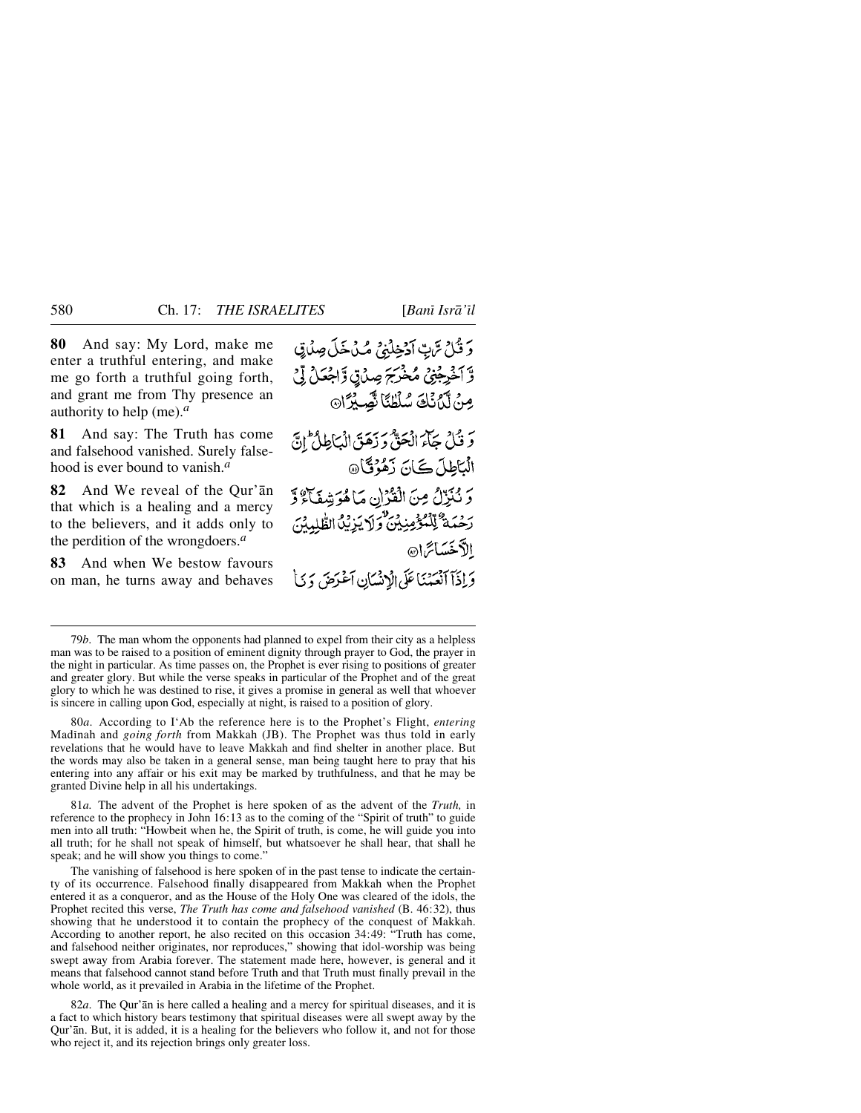**80** And say: My Lord, make me enter a truthful entering, and make me go forth a truthful going forth, and grant me from Thy presence an authority to help (me).*<sup>a</sup>*

**81** And say: The Truth has come and falsehood vanished. Surely falsehood is ever bound to vanish.*<sup>a</sup>*

**82** And We reveal of the Qur'ån that which is a healing and a mercy to the believers, and it adds only to the perdition of the wrongdoers.*<sup>a</sup>*

**83** And when We bestow favours on man, he turns away and behaves

وَقُلْ تَرَبِّ آدَخِلْنِيُ مُكْ خَلَ صِنْدَى وَّ آخَرِجْنِيُّ مُخْرَجَ صِيْ قِ اَجْعَلْ لِّيْ مِنْ لَّنُ نَكْ شَلْطُئًا نَّصِيْرًا۞ وَقُلْ جَآمَ الْحَقَّ وَزَهَقَ الْبَاطِلُ إِنَّ الْبَاطِلَ كَانَ زَهْزُقَا@ وَ نُزِّلُ مِنَ الْقُرْانِ مَا هُوَشِفَاءٌ وَّ رَحْمَةٌ لِّلْمُؤْمِنِينَ وَلَا يَزِيْنَ الطَّٰلِمِيْنَ الأخسائرا وَإِذَآ ٱنْعَمْنَا عَلَى الْإِنسَانِ ٱعْرَضَ وَيَاْ

79*b*. The man whom the opponents had planned to expel from their city as a helpless man was to be raised to a position of eminent dignity through prayer to God, the prayer in the night in particular. As time passes on, the Prophet is ever rising to positions of greater and greater glory. But while the verse speaks in particular of the Prophet and of the great glory to which he was destined to rise, it gives a promise in general as well that whoever is sincere in calling upon God, especially at night, is raised to a position of glory.

80*a*. According to I'Ab the reference here is to the Prophet's Flight, *entering* Madinah and *going forth* from Makkah (JB). The Prophet was thus told in early revelations that he would have to leave Makkah and find shelter in another place. But the words may also be taken in a general sense, man being taught here to pray that his entering into any affair or his exit may be marked by truthfulness, and that he may be granted Divine help in all his undertakings.

81*a.* The advent of the Prophet is here spoken of as the advent of the *Truth,* in reference to the prophecy in John 16:13 as to the coming of the "Spirit of truth" to guide men into all truth: "Howbeit when he, the Spirit of truth, is come, he will guide you into all truth; for he shall not speak of himself, but whatsoever he shall hear, that shall he speak; and he will show you things to come."

The vanishing of falsehood is here spoken of in the past tense to indicate the certainty of its occurrence. Falsehood finally disappeared from Makkah when the Prophet entered it as a conqueror, and as the House of the Holy One was cleared of the idols, the Prophet recited this verse, *The Truth has come and falsehood vanished* (B. 46:32), thus showing that he understood it to contain the prophecy of the conquest of Makkah. According to another report, he also recited on this occasion 34:49: "Truth has come, and falsehood neither originates, nor reproduces," showing that idol-worship was being swept away from Arabia forever. The statement made here, however, is general and it means that falsehood cannot stand before Truth and that Truth must finally prevail in the whole world, as it prevailed in Arabia in the lifetime of the Prophet.

82*a*. The Qur'ån is here called a healing and a mercy for spiritual diseases, and it is a fact to which history bears testimony that spiritual diseases were all swept away by the Qur'ån. But, it is added, it is a healing for the believers who follow it, and not for those who reject it, and its rejection brings only greater loss.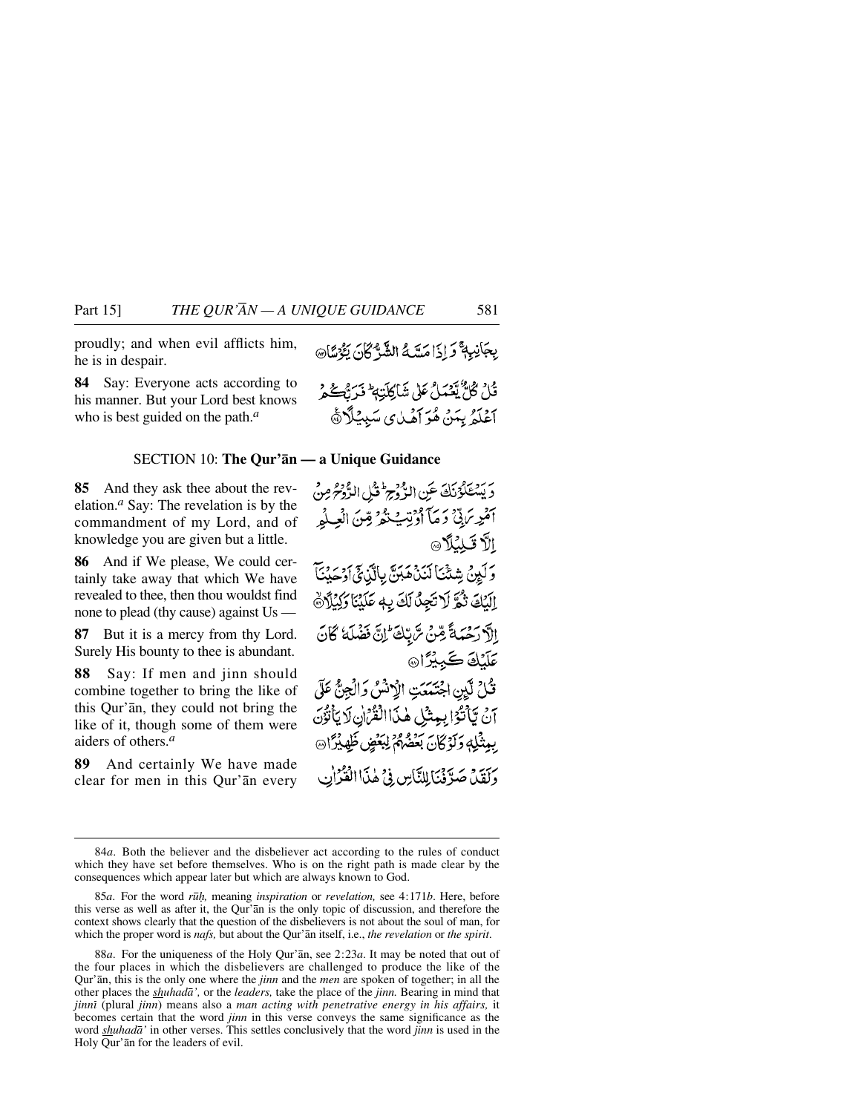proudly; and when evil afflicts him, he is in despair.

**84** Say: Everyone acts according to his manner. But your Lord best knows who is best guided on the path.*<sup>a</sup>*

#### SECTION 10: **The Qur'ån — a Unique Guidance**

**85** And they ask thee about the revelation.*<sup>a</sup>* Say: The revelation is by the commandment of my Lord, and of knowledge you are given but a little.

**86** And if We please, We could certainly take away that which We have revealed to thee, then thou wouldst find none to plead (thy cause) against Us —

**87** But it is a mercy from thy Lord. Surely His bounty to thee is abundant.

**88** Say: If men and jinn should combine together to bring the like of this Qur'ån, they could not bring the like of it, though some of them were aiders of others.*<sup>a</sup>*

**89** And certainly We have made clear for men in this Qur'ån every

consequences which appear later but which are always known to God.

Qur'ån, this is the only one where the *jinn* and the *men* are spoken of together; in all the other places the *shuhadå',* or the *leaders,* take the place of the *jinn.* Bearing in mind that *jinnß* (plural *jinn*) means also a *man acting with penetrative energy in his affairs,* it becomes certain that the word *jinn* in this verse conveys the same significance as the word *shuhadå'* in other verses. This settles conclusively that the word *jinn* is used in the Holy Qur'ån for the leaders of evil.

84*a*. Both the believer and the disbeliever act according to the rules of conduct which they have set before themselves. Who is on the right path is made clear by the

85*a*. For the word *r∂ƒ,* meaning *inspiration* or *revelation,* see 4:171*b*. Here, before this verse as well as after it, the Qur'ån is the only topic of discussion, and therefore the context shows clearly that the question of the disbelievers is not about the soul of man, for which the proper word is *nafs,* but about the Qur'ån itself, i.e., *the revelation* or *the spirit*.

دَيْتَنْكَوْنَكَ عَنِ الدَّمْجِ الْمَثْلِ الدُّوْمِ مِنْ أَمُرِ مَنِيٌّ وَمَا أَوْتِيَ تَمُّ قِنَ الْعِلْمِ الاقللا وَلَيِنْ شِئْنَا لَنَدْهِ مَنَّ بِالَّذِئِ أَوْحَيْنَا إِلَيْكَ تُمَرَّ لَا تَجِنُّ لَكَ بِهِ عَلَيْنَا وَلِيُلَاثَ الآرَحْمَةُ مِّنْ تَرْبَكَ إِنَّ فَضْلَهُ كَانَ *عَلَيْ*كَ كَبِيْزًا۞ تُكْ لَيْنِ اجْتَمَعَتِ الْإِنْشُ وَالْجِنُّ عَلَى آنُ يَأْتُوْا بِعِثْلِ هٰذَاالْقُرْْنِ لَا يَأْتُوْنَ بِبِيثْلِهِ وَلَوْكَانَ بَعْضُهُمُ لِبَعْضٍ ظَهِيْرًا @ وَلَقِيْهِ صَدَّفْنَا لِلنَّاسِ فِي هٰذَاالْقَرْنِ

قُلْ ݣَلّْ يْعْمَلْ عَلَى شَاكِلَتِهِ ۚ فَرَبُّكُمْ ۚ أَعْلَمُ بِيَهْنَ هُوَ أَهْيَايِ سَبِيئِكَٱ ۞

<sup>88</sup>*a*. For the uniqueness of the Holy Qur'ån, see 2:23*a*. It may be noted that out of the four places in which the disbelievers are challenged to produce the like of the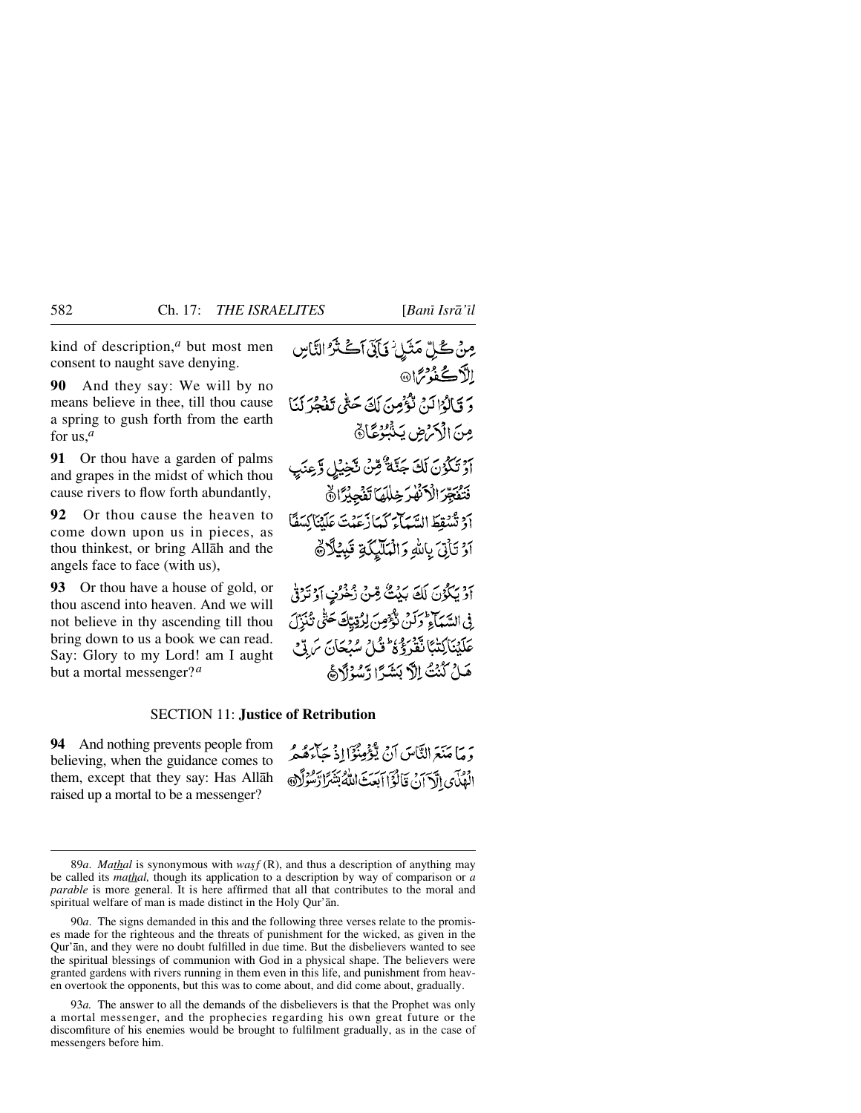kind of description,*<sup>a</sup>* but most men consent to naught save denying.

**90** And they say: We will by no means believe in thee, till thou cause a spring to gush forth from the earth for us,*<sup>a</sup>*

**91** Or thou have a garden of palms and grapes in the midst of which thou cause rivers to flow forth abundantly,

**92** Or thou cause the heaven to come down upon us in pieces, as thou thinkest, or bring Allåh and the angels face to face (with us),

**93** Or thou have a house of gold, or thou ascend into heaven. And we will not believe in thy ascending till thou bring down to us a book we can read. Say: Glory to my Lord! am I aught but a mortal messenger?*<sup>a</sup>*

مِنْ كُلِّ مَثَلٍ ۖ وَإِنَّى آَكَتْنَرُ النَّاسِ الأكثو<sup>م</sup>ا® دَ قَبَالُوْا لَدْمْ تَوْقِيمِينَ لَكَ حَتَّى تَفْجَرَ لَمْنَا مِنَ الْأَكْرَضِ يَذَٰبُوُغَّانَ أَوْ تَكْوُنَ لَكَ جَنَّةٌ قِنْ نَجْيَٰلٍ وَّعِنَٰيِ فَتَفَجِّرَ الْأَنْهَرَ خِلْلَهَا تَفَجِّيْرًا ﴾ أَدْ تَسْقِطَ السَّيَاجِ كَمَا زَعَهُتَ عَلَيْنَاكِسَفًا أَرْ تَأْتِيَ بِاللَّهِ وَالْمَلَّيْكَةِ قَبِيْلًانَّهَ

أَوْيَكُوْنَ لَكَ بَيْتٌ مِّنْ زُخْرُنٍ أَوْتَرُوْ فِي السَّمَاءِ وَلَنْ تُؤْمِنَ لِرُقِيِّكَ حَتَّى تُنْزِّلَ عَلَيْنَاكِتْبًا تَقْرَؤُهُ وَّلُ سُبْحَانَ مَ قِّ هَـٰلُ كُنُتُ اِلْاَ بَشَرًّا رَّسُوْاً وَ هَذَا

## SECTION 11: **Justice of Retribution**

**94** And nothing prevents people from believing, when the guidance comes to them, except that they say: Has Allåh raised up a mortal to be a messenger?

وَ مَا مَنَعَ النَّاسَ أَنْ يُؤْمِنُوٓ ٰاذۡ حَآءَهُمُّ الْهُدَّى الْآيَانُ قَالُوْٓا أَبِعَتَ اللَّهُ بَشَرًا رَّسُوْلَا ﴾

<sup>89</sup>*a*. *Mathal* is synonymous with *wasf* (R), and thus a description of anything may be called its *mathal,* though its application to a description by way of comparison or *a parable* is more general. It is here affirmed that all that contributes to the moral and spiritual welfare of man is made distinct in the Holy Qur'ån.

<sup>90</sup>*a*. The signs demanded in this and the following three verses relate to the promises made for the righteous and the threats of punishment for the wicked, as given in the Qur'ån, and they were no doubt fulfilled in due time. But the disbelievers wanted to see the spiritual blessings of communion with God in a physical shape. The believers were granted gardens with rivers running in them even in this life, and punishment from heaven overtook the opponents, but this was to come about, and did come about, gradually.

<sup>93</sup>*a.* The answer to all the demands of the disbelievers is that the Prophet was only a mortal messenger, and the prophecies regarding his own great future or the discomfiture of his enemies would be brought to fulfilment gradually, as in the case of messengers before him.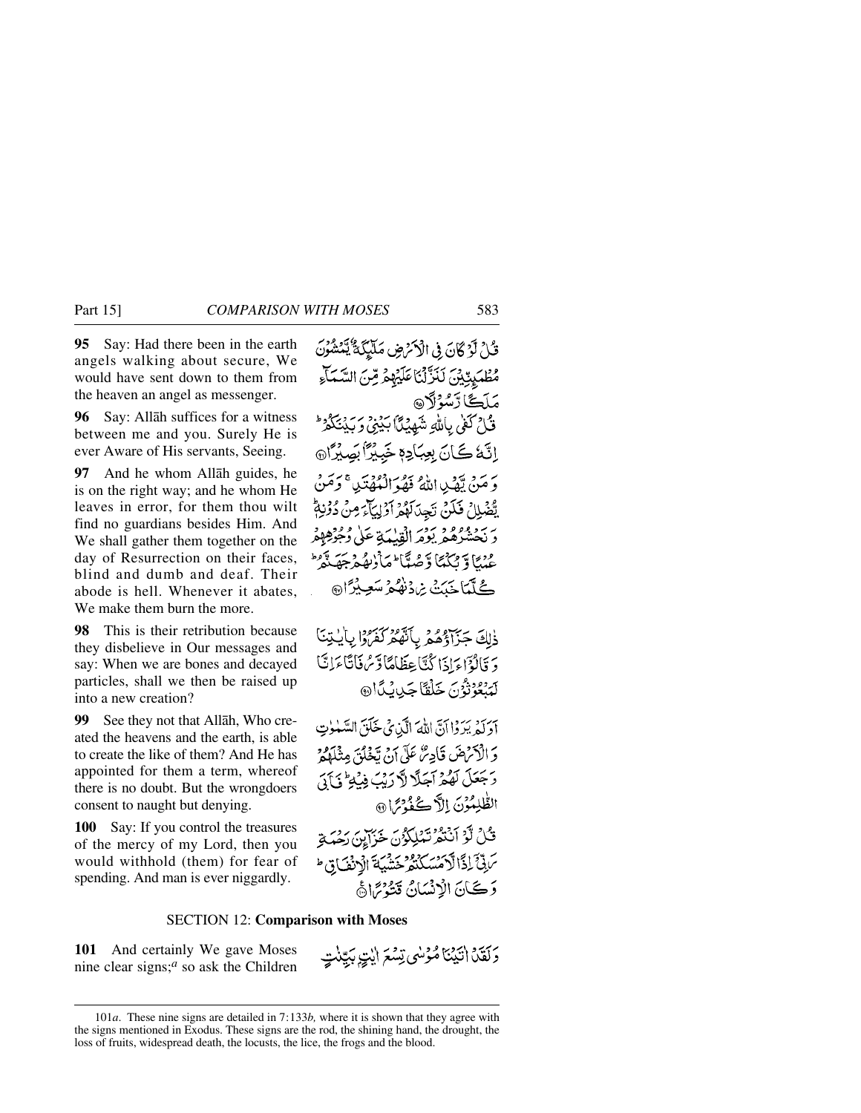**95** Say: Had there been in the earth angels walking about secure, We would have sent down to them from the heaven an angel as messenger.

**96** Say: Allåh suffices for a witness between me and you. Surely He is ever Aware of His servants, Seeing.

**97** And he whom Allåh guides, he is on the right way; and he whom He leaves in error, for them thou wilt find no guardians besides Him. And We shall gather them together on the day of Resurrection on their faces, blind and dumb and deaf. Their abode is hell. Whenever it abates, We make them burn the more.

**98** This is their retribution because they disbelieve in Our messages and say: When we are bones and decayed particles, shall we then be raised up into a new creation?

**99** See they not that Allåh, Who created the heavens and the earth, is able to create the like of them? And He has appointed for them a term, whereof there is no doubt. But the wrongdoers consent to naught but denying.

**100** Say: If you control the treasures of the mercy of my Lord, then you would withhold (them) for fear of spending. And man is ever niggardly.

قَلْ لَوْكَانَ فِي الْأَكْرَضِ مَلَيْكَةٌ يَّمْشُوْنَ مُطْهَيْتِيْنَ لَنَزَّلْنَا عَلَيْهِمْ مِّنَ السَّمَاءِ مَلَڪَّا رَّسُوُلَا@ قَامُ كَفَىٰ بِاللَّهِ شَهِيْدًا بِكِيْنِي وَبِكِيْنَكُمْرُ ۖ اِنَّهٗ كَانَ بِعِبَادِهٖ خَبِيْرًا بَصِيْرًا @ وَ مَنْ تَهْدِيدِ اللَّهُ فَهُوَ الْمُهْتَدِينَ وَمَنْ يَّعْبَلِا ۚ فَكَنْ نَجِدَلَهُمْ أَوْلِيَآءَ مِنْ دُوْنِهِمْ ۖ دَ بَحْشْرُهُمْ يَوْمَرَ الْقِيْبَةِ عَلَى وُجُوْهِهِمْ عْيُنَا وَيَكْتُبَا وَّصُبَّآ مَا ْرُبِّعُهُ جَهَيَّتُهُ ۖ كُلّْمَاجَيَتْ بْرِدْنْهُمْ سَعِيْرًا۞

ذَلِكَ جَزَادُهُمْ بِأَنَّهُمْ كَفَرُوا بِأَيْتِنَا دَ قَالُؤَاءَ إِذَا كُنَّاعِظَاهًا دِّسُ فَاتَاءَانَّا لَمَنْعُوْنُوْنَ خَلْقَا جَبِينِكَأِنَّ

آدَلَهُ يَرَوْا آنَّ اللهَ الَّذِي خَلَقَ السَّمْلُوتِ وَالْأَمْهَضَ قَادِئُ عَلَى آنَ تَخَلُّقُ مِثْلَاهُمْ رَّجَعَلَ لَهُمْ آجَلًا لَّا رَيْبَ فِيْهِ ۚ فَيَآتَىٰ الطُّلِمُوْنَ إِلاَّ كُفُّهُ ثِمَّا ۞ ثَّلُ لَّوَ أَنْتَمُرْتَمَلِكُوُنَ خَزَايِنَ رَضَحَ بَرِبِّيٍّ إِذَالَّا مَسْكَنْفِرْ حَشْيَةَ الْانْفَ قِي ط دَ ڪَانَ الْإِنْسَانُ قَشَرْتَهُا هُ

### SECTION 12: **Comparison with Moses**

**101** And certainly We gave Moses nine clear signs;*<sup>a</sup>* so ask the Children وَلَقَلْ اتَّيْنَا مُؤْسَى تِسْعَ ايْتِ بِكِيّْنَتٍ

<sup>101</sup>*a*. These nine signs are detailed in 7:133*b,* where it is shown that they agree with the signs mentioned in Exodus. These signs are the rod, the shining hand, the drought, the loss of fruits, widespread death, the locusts, the lice, the frogs and the blood.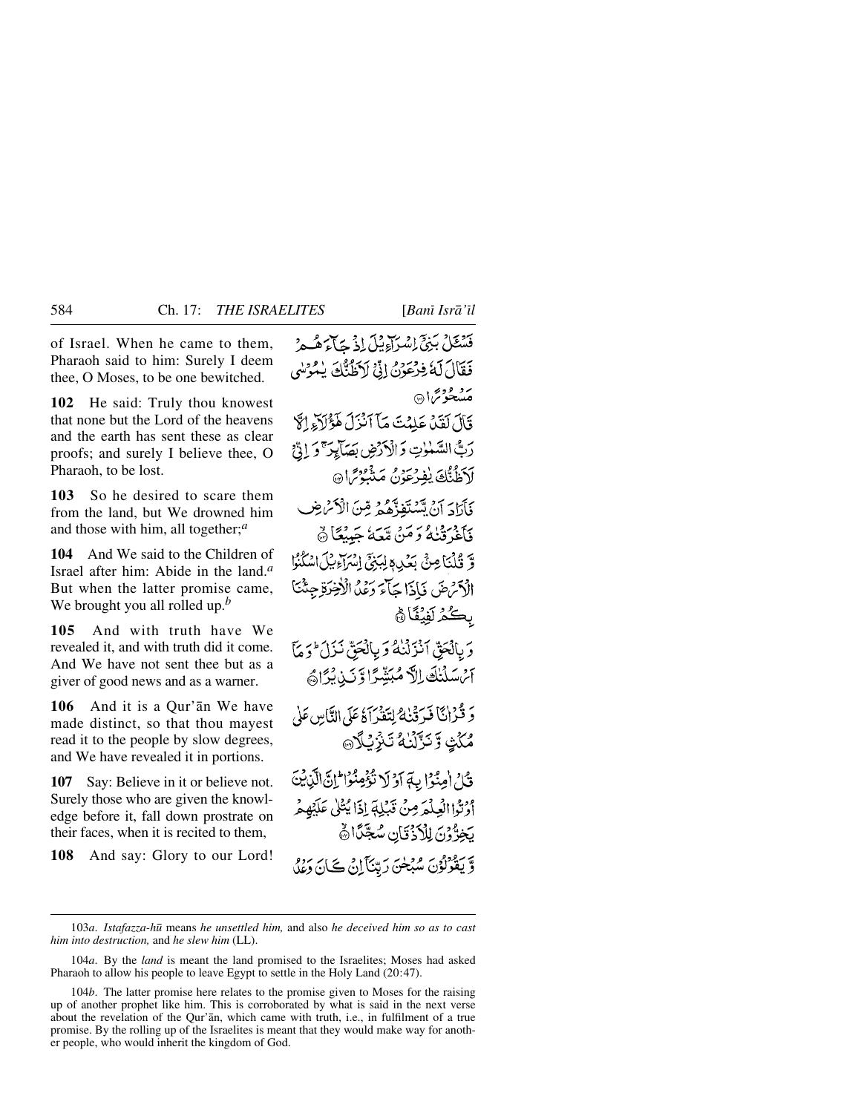of Israel. When he came to them, Pharaoh said to him: Surely I deem thee, O Moses, to be one bewitched.

**102** He said: Truly thou knowest that none but the Lord of the heavens and the earth has sent these as clear proofs; and surely I believe thee, O Pharaoh, to be lost.

**103** So he desired to scare them from the land, but We drowned him and those with him, all together;*<sup>a</sup>*

**104** And We said to the Children of Israel after him: Abide in the land.*<sup>a</sup>* But when the latter promise came, We brought you all rolled up.*<sup>b</sup>*

**105** And with truth have We revealed it, and with truth did it come. And We have not sent thee but as a giver of good news and as a warner.

**106** And it is a Qur'ån We have made distinct, so that thou mayest read it to the people by slow degrees, and We have revealed it in portions.

**107** Say: Believe in it or believe not. Surely those who are given the knowledge before it, fall down prostrate on their faces, when it is recited to them,

**108** And say: Glory to our Lord!

فَسْتَلْ بَنِيٍّ إِسْرَآءِيْلَ إِذْ جَآءٌ هُـمْ فَقَالَ لَهُ فِرْعَوْنُ إِنِّي لَاَظُنُّكَ يُمُؤْسُى متشخرتما ها قَالَ لَقَدْ عَلَمْتَ مَآَ أَنْزَلَ هَؤُلَآءِ الْإِ رَبُّ السَّمْوٰتِ وَالْأَرْضِ بَصَابِرَ ۚ وَ إِنَّ لْأَظُنُّكَ يُفِرْعَوْنُ مَنْثُوْتِرَانَ فَأَرَادَ أَنْ تَسْتَغِذَّهُمْ مِّنَ الْأَسْ ضِ فَأَغْرَقْنَهُ وَمَنْ مَّعَهُ جَيِيْعًا ﴾ وَّ قُلْنَا مِنَّ بَعْدِ بِبَنِيِّ إِسْرَاءِ بِلَ اسْكُنُوا الْأَمْرَضَ فَإِذَا جَآءَ وَعَدُ الْأَخِرَةِ جِئْنَا بكُمُ لَفِيُفَاٰ ۞ وَ بِالْحَقِّ اَنْزَلْنُهُ وَ بِالْحَقِّ نَزَلَ وَ مَأْ آَسُسَلَنَكَ اِلَّ مُبَيِّدًا وَّنَ بِيُّامً وَ قُرْانًا فَيَرَقَنْكَ لِتَفَرَآهُ عَلَى النَّاسِ عَلَى مُكَٰثٍ وَّ تَزَّلۡنَٰهُ تَـٰزِيۡلَا۞ قُلْ أُمِنُوْا بِهَ أَوْلَا تُؤْمِنُوْا لِّكَ الَّذِينَ أَرْثَوْا الْعِلْمَ مِنْ قَبْلِهِ إِذَا يُتْلَى عَلَيْهِمْ يَخِرُّونَ لِلْأَذْقَانِ سُجَّنَّا ﴾ وَّيْقُوْلُوْنَ سُبْخَنَ رَبِّنَآ إِنِّي ڪَانِ وَعِلَّ

<sup>103</sup>*a*. *Istafazza-h∂* means *he unsettled him,* and also *he deceived him so as to cast him into destruction,* and *he slew him* (LL).

<sup>104</sup>*a*. By the *land* is meant the land promised to the Israelites; Moses had asked Pharaoh to allow his people to leave Egypt to settle in the Holy Land (20:47).

<sup>104</sup>*b*. The latter promise here relates to the promise given to Moses for the raising up of another prophet like him. This is corroborated by what is said in the next verse about the revelation of the Qur'ån, which came with truth, i.e., in fulfilment of a true promise. By the rolling up of the Israelites is meant that they would make way for another people, who would inherit the kingdom of God.